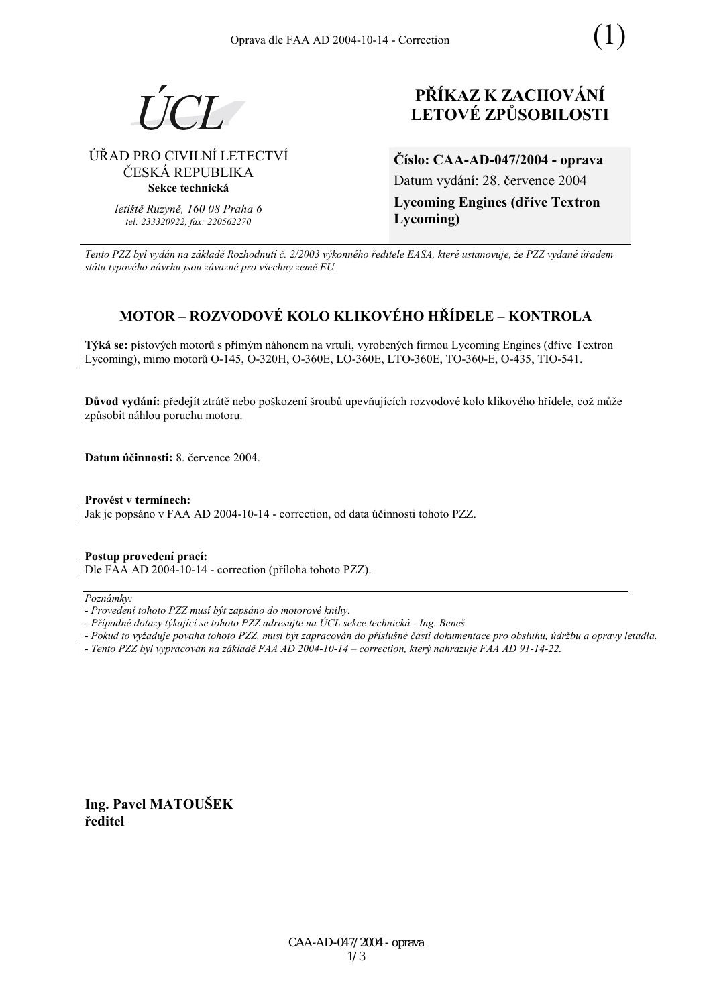

## ⁄ŘAD PRO CIVILNÕ LETECTVÕ ČESKÁ REPUBLIKA **Sekce technická**

*letiötě Ruzyně, 160 08 Praha 6 tel: 233320922, fax: 220562270*

# **PŘÍKAZ K ZACHOVÁNÍ LETOV… ZPŮSOBILOSTI**

**ČÌslo: CAA-AD-047/2004 - oprava**  Datum vydání: 28. července 2004 **Lycoming Engines (dřÌve Textron Lycoming)** 

*Tento PZZ byl vyd·n na z·kladě RozhodnutÌ č. 2/2003 v˝konnÈho ředitele EASA, kterÈ ustanovuje, ûe PZZ vydanÈ ˙řadem st·tu typovÈho n·vrhu jsou z·vaznÈ pro vöechny země EU.*

## **MOTOR – ROZVODOVÉ KOLO KLIKOVÉHO HŘÍDELE – KONTROLA**

Týká se: pístových motorů s přímým náhonem na vrtuli, vyrobených firmou Lycoming Engines (dříve Textron Lycoming), mimo motorů O-145, O-320H, O-360E, LO-360E, LTO-360E, TO-360-E, O-435, TIO-541.

Důvod vydání: předejít ztrátě nebo poškození šroubů upevňujících rozvodové kolo klikového hřídele, což může způsobit náhlou poruchu motoru.

**Datum ˙činnosti:** 8. července 2004.

Provést v termínech: Jak je popsáno v FAA AD 2004-10-14 - correction, od data účinnosti tohoto PZZ.

**Postup provedenÌ pracÌ:**  Dle FAA AD 2004-10-14 - correction (příloha tohoto PZZ).

Poznámky:

- Případné dotazy týkající se tohoto PZZ adresujte na ÚCL sekce technická - Ing. Beneš.

*- Pokud to vyûaduje povaha tohoto PZZ, musÌ b˝t zapracov·n do přÌsluönÈ č·sti dokumentace pro obsluhu, ˙drûbu a opravy letadla.* 

*- Tento PZZ byl vypracov·n na z·kladě FAA AD 2004-10-14 ñ correction, kter˝ nahrazuje FAA AD 91-14-22.* 

**Ing. Pavel MATOUäEK ředitel** 

*<sup>-</sup> ProvedenÌ tohoto PZZ musÌ b˝t zaps·no do motorovÈ knihy.*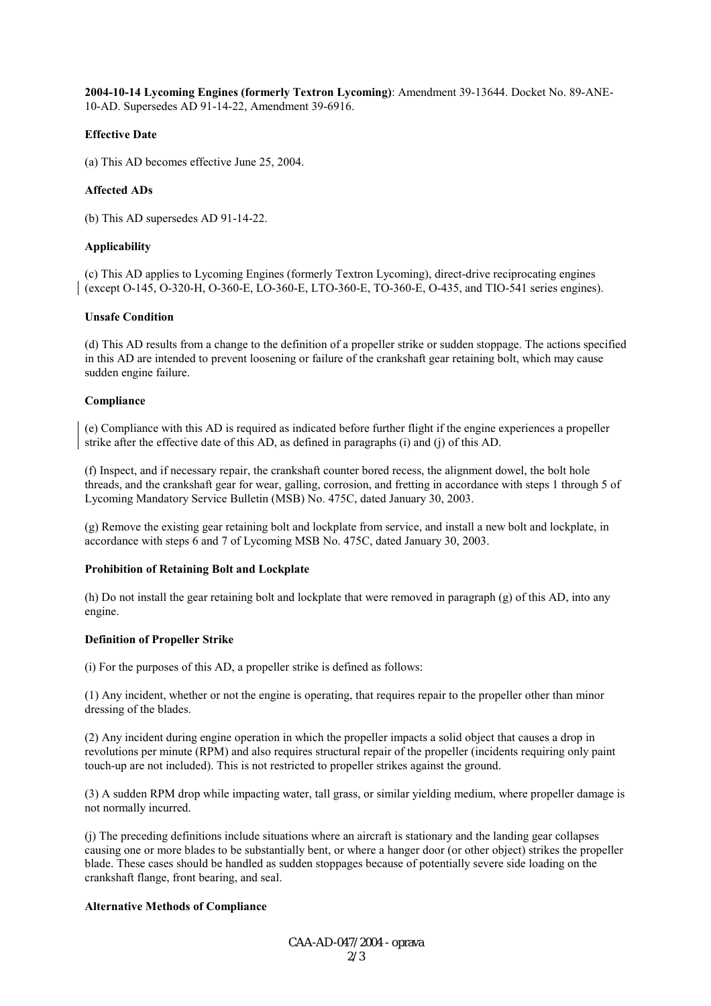**2004-10-14 Lycoming Engines (formerly Textron Lycoming)**: Amendment 39-13644. Docket No. 89-ANE-10-AD. Supersedes AD 91-14-22, Amendment 39-6916.

## **Effective Date**

(a) This AD becomes effective June 25, 2004.

## **Affected ADs**

(b) This AD supersedes AD 91-14-22.

## **Applicability**

(c) This AD applies to Lycoming Engines (formerly Textron Lycoming), direct-drive reciprocating engines (except O-145, O-320-H, O-360-E, LO-360-E, LTO-360-E, TO-360-E, O-435, and TIO-541 series engines).

## **Unsafe Condition**

(d) This AD results from a change to the definition of a propeller strike or sudden stoppage. The actions specified in this AD are intended to prevent loosening or failure of the crankshaft gear retaining bolt, which may cause sudden engine failure.

## **Compliance**

(e) Compliance with this AD is required as indicated before further flight if the engine experiences a propeller strike after the effective date of this AD, as defined in paragraphs (i) and (j) of this AD.

(f) Inspect, and if necessary repair, the crankshaft counter bored recess, the alignment dowel, the bolt hole threads, and the crankshaft gear for wear, galling, corrosion, and fretting in accordance with steps 1 through 5 of Lycoming Mandatory Service Bulletin (MSB) No. 475C, dated January 30, 2003.

(g) Remove the existing gear retaining bolt and lockplate from service, and install a new bolt and lockplate, in accordance with steps 6 and 7 of Lycoming MSB No. 475C, dated January 30, 2003.

## **Prohibition of Retaining Bolt and Lockplate**

(h) Do not install the gear retaining bolt and lockplate that were removed in paragraph (g) of this AD, into any engine.

## **Definition of Propeller Strike**

(i) For the purposes of this AD, a propeller strike is defined as follows:

(1) Any incident, whether or not the engine is operating, that requires repair to the propeller other than minor dressing of the blades.

(2) Any incident during engine operation in which the propeller impacts a solid object that causes a drop in revolutions per minute (RPM) and also requires structural repair of the propeller (incidents requiring only paint touch-up are not included). This is not restricted to propeller strikes against the ground.

(3) A sudden RPM drop while impacting water, tall grass, or similar yielding medium, where propeller damage is not normally incurred.

(j) The preceding definitions include situations where an aircraft is stationary and the landing gear collapses causing one or more blades to be substantially bent, or where a hanger door (or other object) strikes the propeller blade. These cases should be handled as sudden stoppages because of potentially severe side loading on the crankshaft flange, front bearing, and seal.

## **Alternative Methods of Compliance**